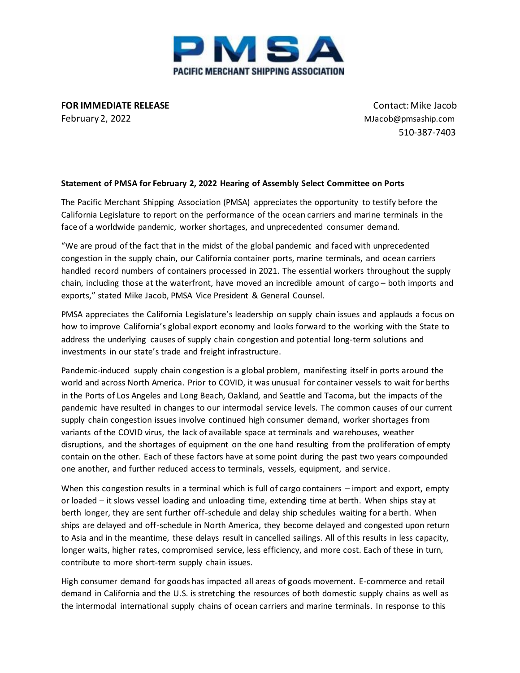

**FOR IMMEDIATE RELEASE** Contact:Mike Jacob February 2, 2022 MJacob@pmsaship.com

510-387-7403

## **Statement of PMSA for February 2, 2022 Hearing of Assembly Select Committee on Ports**

The Pacific Merchant Shipping Association (PMSA) appreciates the opportunity to testify before the California Legislature to report on the performance of the ocean carriers and marine terminals in the face of a worldwide pandemic, worker shortages, and unprecedented consumer demand.

"We are proud of the fact that in the midst of the global pandemic and faced with unprecedented congestion in the supply chain, our California container ports, marine terminals, and ocean carriers handled record numbers of containers processed in 2021. The essential workers throughout the supply chain, including those at the waterfront, have moved an incredible amount of cargo – both imports and exports," stated Mike Jacob, PMSA Vice President & General Counsel.

PMSA appreciates the California Legislature's leadership on supply chain issues and applauds a focus on how to improve California's global export economy and looks forward to the working with the State to address the underlying causes of supply chain congestion and potential long-term solutions and investments in our state's trade and freight infrastructure.

Pandemic-induced supply chain congestion is a global problem, manifesting itself in ports around the world and across North America. Prior to COVID, it was unusual for container vessels to wait for berths in the Ports of Los Angeles and Long Beach, Oakland, and Seattle and Tacoma, but the impacts of the pandemic have resulted in changes to our intermodal service levels. The common causes of our current supply chain congestion issues involve continued high consumer demand, worker shortages from variants of the COVID virus, the lack of available space at terminals and warehouses, weather disruptions, and the shortages of equipment on the one hand resulting from the proliferation of empty contain on the other. Each of these factors have at some point during the past two years compounded one another, and further reduced access to terminals, vessels, equipment, and service.

When this congestion results in a terminal which is full of cargo containers – import and export, empty or loaded – it slows vessel loading and unloading time, extending time at berth. When ships stay at berth longer, they are sent further off-schedule and delay ship schedules waiting for a berth. When ships are delayed and off-schedule in North America, they become delayed and congested upon return to Asia and in the meantime, these delays result in cancelled sailings. All of this results in less capacity, longer waits, higher rates, compromised service, less efficiency, and more cost. Each of these in turn, contribute to more short-term supply chain issues.

High consumer demand for goods has impacted all areas of goods movement. E-commerce and retail demand in California and the U.S. is stretching the resources of both domestic supply chains as well as the intermodal international supply chains of ocean carriers and marine terminals. In response to this